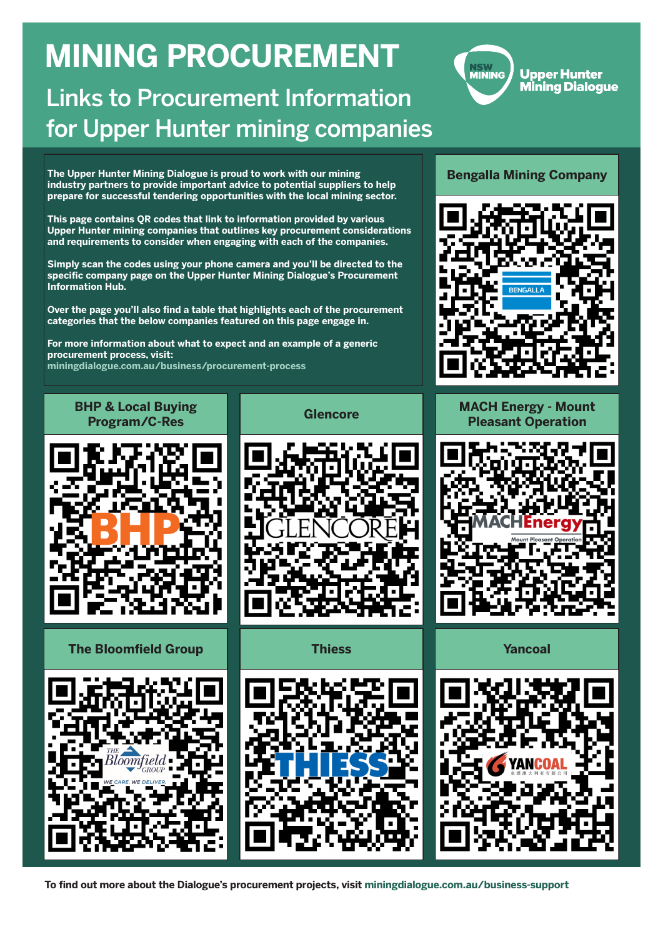#### **Bengalla Mining Company**



**MACH Energy - Mount Pleasant Operation**





**BHP & Local Buying** 

# **Program/C-Res Glencore**

**The Bloomfield Group Thiess Yancoal**







**NSW<br>MINING** 

**Upper Hunter Mining Dialoque** 

**The Upper Hunter Mining Dialogue is proud to work with our mining industry partners to provide important advice to potential suppliers to help prepare for successful tendering opportunities with the local mining sector.** 

**This page contains QR codes that link to information provided by various Upper Hunter mining companies that outlines key procurement considerations and requirements to consider when engaging with each of the companies.**

**Simply scan the codes using your phone camera and you'll be directed to the specific company page on the Upper Hunter Mining Dialogue's Procurement Information Hub.**

**Over the page you'll also find a table that highlights each of the procurement categories that the below companies featured on this page engage in.**

**For more information about what to expect and an example of a generic procurement process, visit: miningdialogue.com.au/business/procurement-process**

# **MINING PROCUREMENT**

## Links to Procurement Information for Upper Hunter mining companies

**To find out more about the Dialogue's procurement projects, visit miningdialogue.com.au/business-support**